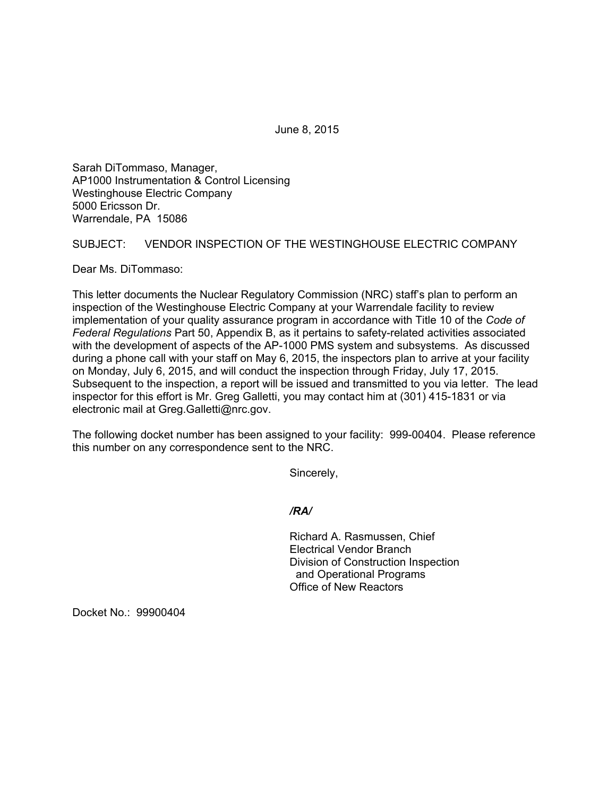June 8, 2015

Sarah DiTommaso, Manager, AP1000 Instrumentation & Control Licensing Westinghouse Electric Company 5000 Ericsson Dr. Warrendale, PA 15086

## SUBJECT: VENDOR INSPECTION OF THE WESTINGHOUSE ELECTRIC COMPANY

Dear Ms. DiTommaso:

This letter documents the Nuclear Regulatory Commission (NRC) staff's plan to perform an inspection of the Westinghouse Electric Company at your Warrendale facility to review implementation of your quality assurance program in accordance with Title 10 of the *Code of Federal Regulations* Part 50, Appendix B, as it pertains to safety-related activities associated with the development of aspects of the AP-1000 PMS system and subsystems. As discussed during a phone call with your staff on May 6, 2015, the inspectors plan to arrive at your facility on Monday, July 6, 2015, and will conduct the inspection through Friday, July 17, 2015. Subsequent to the inspection, a report will be issued and transmitted to you via letter. The lead inspector for this effort is Mr. Greg Galletti, you may contact him at (301) 415-1831 or via electronic mail at Greg.Galletti@nrc.gov.

The following docket number has been assigned to your facility: 999-00404. Please reference this number on any correspondence sent to the NRC.

Sincerely,

*/RA/* 

Richard A. Rasmussen, Chief Electrical Vendor Branch Division of Construction Inspection and Operational Programs Office of New Reactors

Docket No.: 99900404